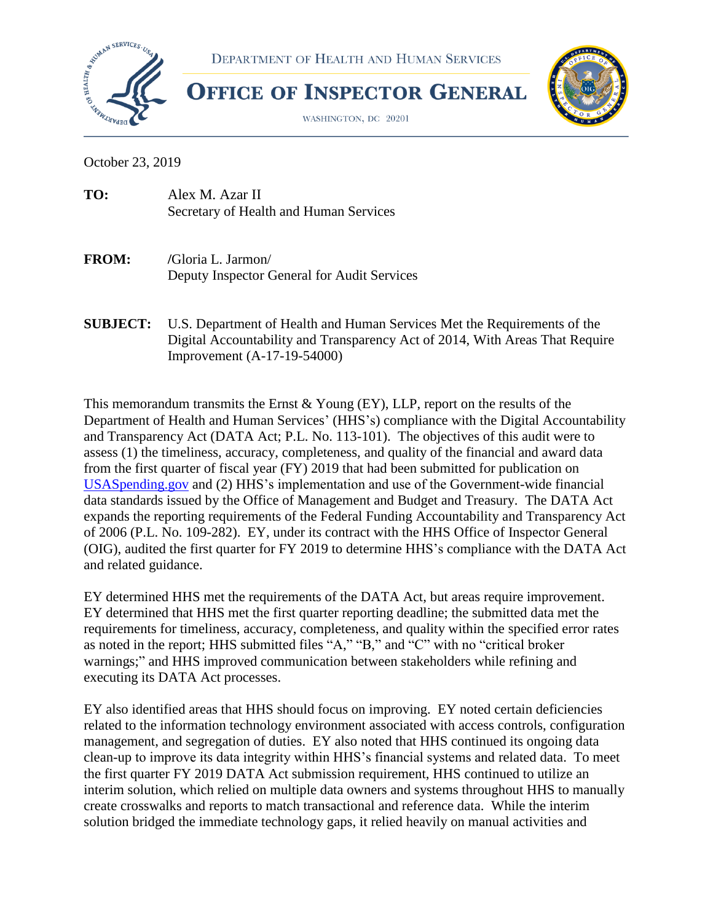

October 23, 2019

| TO: | Alex M. Azar II                        |
|-----|----------------------------------------|
|     | Secretary of Health and Human Services |

- **FROM: /**Gloria L. Jarmon/ Deputy Inspector General for Audit Services
- **SUBJECT:** U.S. Department of Health and Human Services Met the Requirements of the Digital Accountability and Transparency Act of 2014, With Areas That Require Improvement (A-17-19-54000)

This memorandum transmits the Ernst & Young (EY), LLP, report on the results of the Department of Health and Human Services' (HHS's) compliance with the Digital Accountability and Transparency Act (DATA Act; P.L. No. 113-101). The objectives of this audit were to assess (1) the timeliness, accuracy, completeness, and quality of the financial and award data from the first quarter of fiscal year (FY) 2019 that had been submitted for publication on [USASpending.gov](file://///oigshare/balshare/CFO/CFO%202019/DATA%20Act/Letters/Transmittal/USASpending.gov) and (2) HHS's implementation and use of the Government-wide financial data standards issued by the Office of Management and Budget and Treasury. The DATA Act expands the reporting requirements of the Federal Funding Accountability and Transparency Act of 2006 (P.L. No. 109-282). EY, under its contract with the HHS Office of Inspector General (OIG), audited the first quarter for FY 2019 to determine HHS's compliance with the DATA Act and related guidance.

EY determined HHS met the requirements of the DATA Act, but areas require improvement. EY determined that HHS met the first quarter reporting deadline; the submitted data met the requirements for timeliness, accuracy, completeness, and quality within the specified error rates as noted in the report; HHS submitted files "A," "B," and "C" with no "critical broker warnings;" and HHS improved communication between stakeholders while refining and executing its DATA Act processes.

EY also identified areas that HHS should focus on improving. EY noted certain deficiencies related to the information technology environment associated with access controls, configuration management, and segregation of duties. EY also noted that HHS continued its ongoing data clean-up to improve its data integrity within HHS's financial systems and related data. To meet the first quarter FY 2019 DATA Act submission requirement, HHS continued to utilize an interim solution, which relied on multiple data owners and systems throughout HHS to manually create crosswalks and reports to match transactional and reference data. While the interim solution bridged the immediate technology gaps, it relied heavily on manual activities and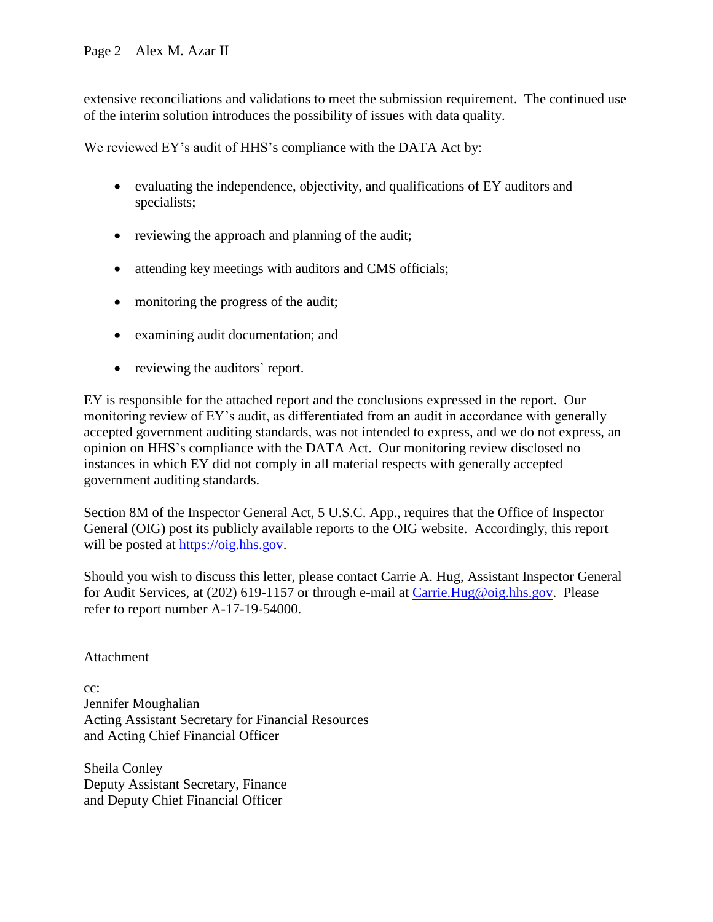extensive reconciliations and validations to meet the submission requirement. The continued use of the interim solution introduces the possibility of issues with data quality.

We reviewed EY's audit of HHS's compliance with the DATA Act by:

- evaluating the independence, objectivity, and qualifications of EY auditors and specialists;
- reviewing the approach and planning of the audit;
- attending key meetings with auditors and CMS officials;
- monitoring the progress of the audit;
- examining audit documentation; and
- reviewing the auditors' report.

EY is responsible for the attached report and the conclusions expressed in the report. Our monitoring review of EY's audit, as differentiated from an audit in accordance with generally accepted government auditing standards, was not intended to express, and we do not express, an opinion on HHS's compliance with the DATA Act. Our monitoring review disclosed no instances in which EY did not comply in all material respects with generally accepted government auditing standards.

Section 8M of the Inspector General Act, 5 U.S.C. App., requires that the Office of Inspector General (OIG) post its publicly available reports to the OIG website. Accordingly, this report will be posted at [https://oig.hhs.gov.](https://oig.hhs.gov/)

Should you wish to discuss this letter, please contact Carrie A. Hug, Assistant Inspector General for Audit Services, at (202) 619-1157 or through e-mail at [Carrie.Hug@oig.hhs.gov.](mailto:Carrie.Hug@oig.hhs.gov) Please refer to report number A-17-19-54000.

Attachment

cc: Jennifer Moughalian Acting Assistant Secretary for Financial Resources and Acting Chief Financial Officer

Sheila Conley Deputy Assistant Secretary, Finance and Deputy Chief Financial Officer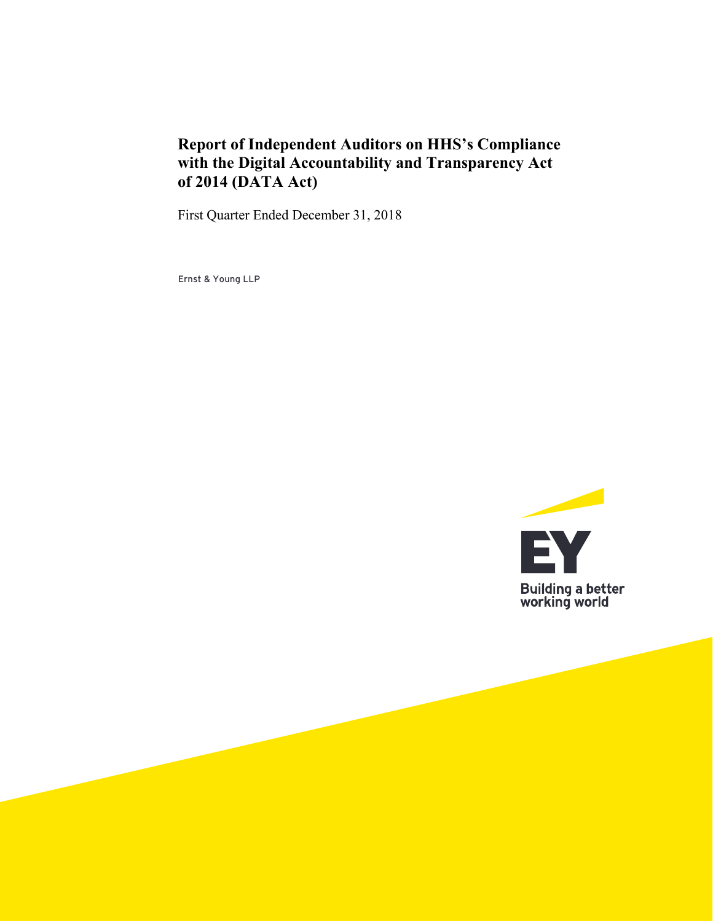# **Report of Independent Auditors on HHS's Compliance with the Digital Accountability and Transparency Act of 2014 (DATA Act)**

First Quarter Ended December 31, 2018

Ernst & Young LLP

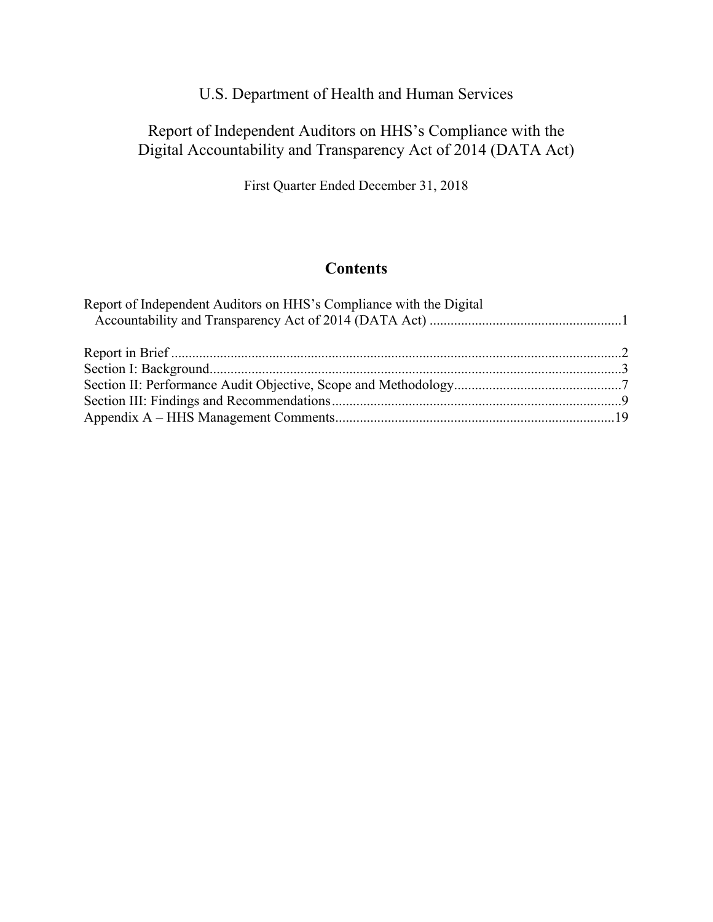# Report of Independent Auditors on HHS's Compliance with the Digital Accountability and Transparency Act of 2014 (DATA Act)

First Quarter Ended December 31, 2018

## **Contents**

| Report of Independent Auditors on HHS's Compliance with the Digital |  |
|---------------------------------------------------------------------|--|
|                                                                     |  |
|                                                                     |  |
|                                                                     |  |
|                                                                     |  |
|                                                                     |  |
|                                                                     |  |
|                                                                     |  |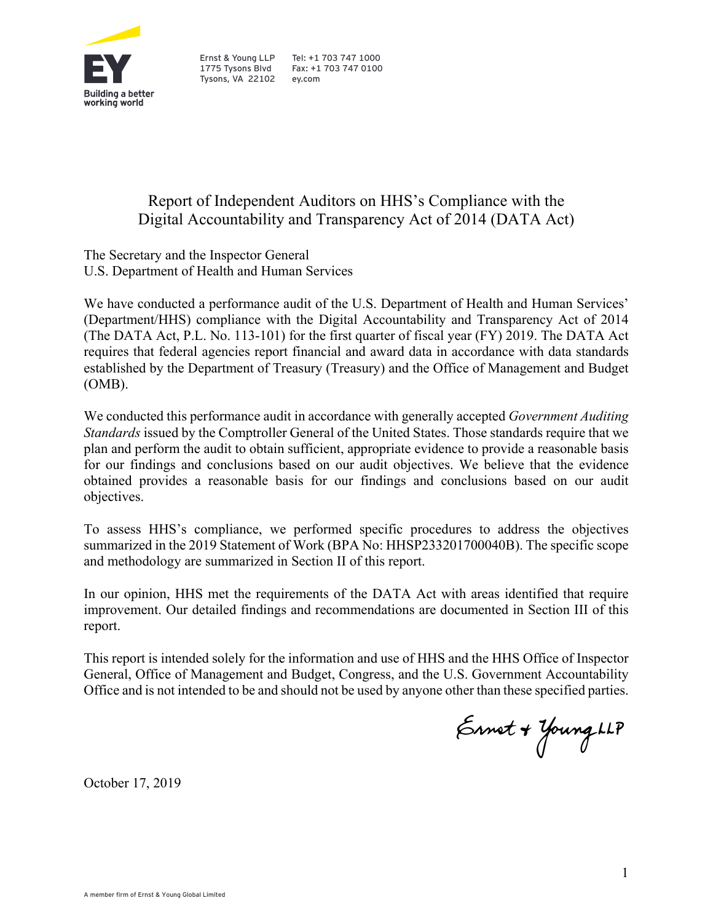

Tysons, VA 22102 ey.com

## Ernst & Young LLP Tel: +1 703 747 1000<br>1775 Tysons Blyd Fax: +1 703 747 0100 Fax: +1 703 747 0100

# Report of Independent Auditors on HHS's Compliance with the Digital Accountability and Transparency Act of 2014 (DATA Act)

The Secretary and the Inspector General U.S. Department of Health and Human Services

We have conducted a performance audit of the U.S. Department of Health and Human Services' (Department/HHS) compliance with the Digital Accountability and Transparency Act of 2014 (The DATA Act, P.L. No. 113-101) for the first quarter of fiscal year (FY) 2019. The DATA Act requires that federal agencies report financial and award data in accordance with data standards established by the Department of Treasury (Treasury) and the Office of Management and Budget (OMB).

We conducted this performance audit in accordance with generally accepted *Government Auditing Standards* issued by the Comptroller General of the United States. Those standards require that we plan and perform the audit to obtain sufficient, appropriate evidence to provide a reasonable basis for our findings and conclusions based on our audit objectives. We believe that the evidence obtained provides a reasonable basis for our findings and conclusions based on our audit objectives.

To assess HHS's compliance, we performed specific procedures to address the objectives summarized in the 2019 Statement of Work (BPA No: HHSP233201700040B). The specific scope and methodology are summarized in Section II of this report.

In our opinion, HHS met the requirements of the DATA Act with areas identified that require improvement. Our detailed findings and recommendations are documented in Section III of this report.

 Office and is not intended to be and should not be used by anyone other than these specified parties. This report is intended solely for the information and use of HHS and the HHS Office of Inspector General, Office of Management and Budget, Congress, and the U.S. Government Accountability

Ernet + Young LLP

October 17, 2019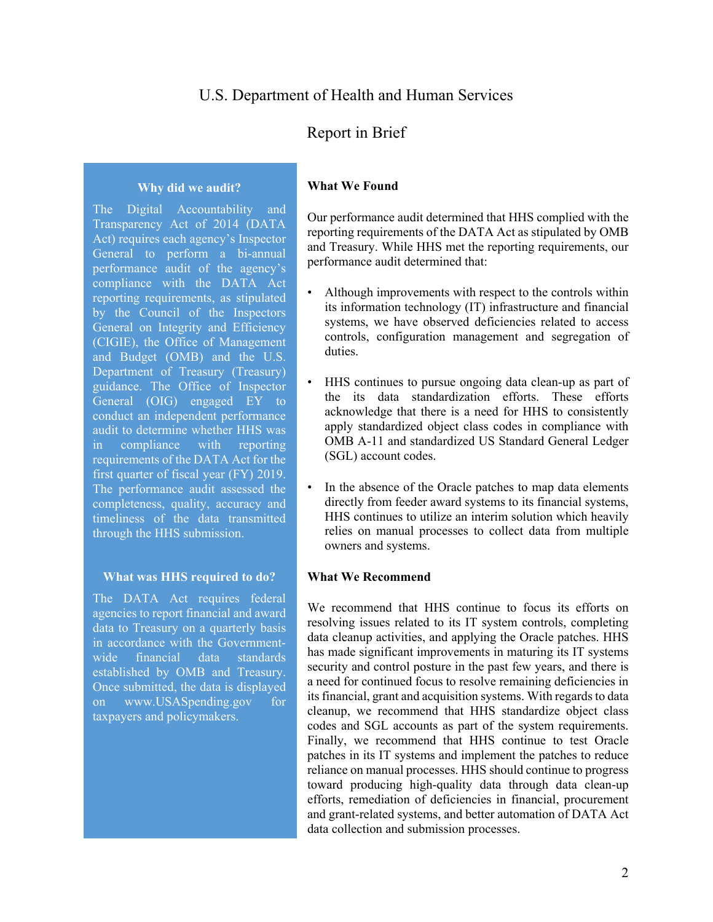## Report in Brief

#### **Why did we audit?**

 General to perform a bi-annual and Budget (OMB) and the U.S. completeness, quality, accuracy and The Digital Accountability and Transparency Act of 2014 (DATA Act) requires each agency's Inspector performance audit of the agency's compliance with the DATA Act reporting requirements, as stipulated by the Council of the Inspectors General on Integrity and Efficiency (CIGIE), the Office of Management Department of Treasury (Treasury) guidance. The Office of Inspector General (OIG) engaged EY to conduct an independent performance audit to determine whether HHS was in compliance with reporting requirements of the DATA Act for the first quarter of fiscal year (FY) 2019. The performance audit assessed the timeliness of the data transmitted through the HHS submission.

#### **What was HHS required to do?**

The DATA Act requires federal agencies to report financial and award data to Treasury on a quarterly basis in accordance with the Governmentwide financial data standards established by OMB and Treasury. Once submitted, the data is displayed on www.USASpending.gov for taxpayers and policymakers.

#### **What We Found**

Our performance audit determined that HHS complied with the reporting requirements of the DATA Act as stipulated by OMB and Treasury. While HHS met the reporting requirements, our performance audit determined that:

- Although improvements with respect to the controls within its information technology (IT) infrastructure and financial systems, we have observed deficiencies related to access controls, configuration management and segregation of duties.
- apply standardized object class codes in compliance with • HHS continues to pursue ongoing data clean-up as part of the its data standardization efforts. These efforts acknowledge that there is a need for HHS to consistently OMB A-11 and standardized US Standard General Ledger (SGL) account codes.
- • In the absence of the Oracle patches to map data elements directly from feeder award systems to its financial systems, HHS continues to utilize an interim solution which heavily relies on manual processes to collect data from multiple owners and systems.

#### **What We Recommend**

We recommend that HHS continue to focus its efforts on resolving issues related to its IT system controls, completing data cleanup activities, and applying the Oracle patches. HHS has made significant improvements in maturing its IT systems security and control posture in the past few years, and there is a need for continued focus to resolve remaining deficiencies in its financial, grant and acquisition systems. With regards to data cleanup, we recommend that HHS standardize object class codes and SGL accounts as part of the system requirements. Finally, we recommend that HHS continue to test Oracle patches in its IT systems and implement the patches to reduce reliance on manual processes. HHS should continue to progress toward producing high-quality data through data clean-up efforts, remediation of deficiencies in financial, procurement and grant-related systems, and better automation of DATA Act data collection and submission processes.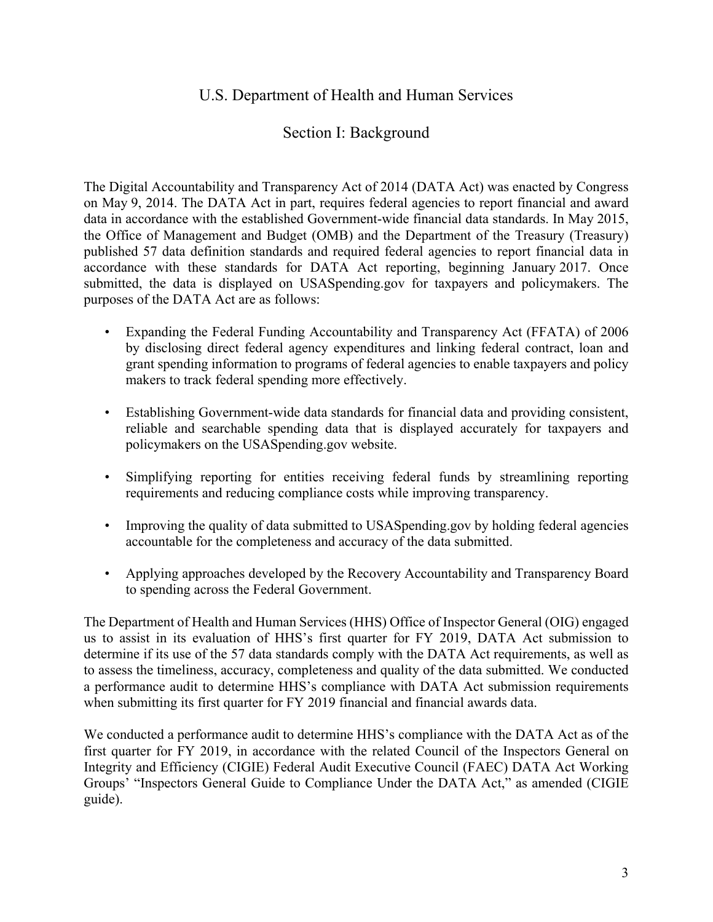## Section I: Background

 the Office of Management and Budget (OMB) and the Department of the Treasury (Treasury) The Digital Accountability and Transparency Act of 2014 (DATA Act) was enacted by Congress on May 9, 2014. The DATA Act in part, requires federal agencies to report financial and award data in accordance with the established Government-wide financial data standards. In May 2015, published 57 data definition standards and required federal agencies to report financial data in accordance with these standards for DATA Act reporting, beginning January 2017. Once submitted, the data is displayed on USASpending.gov for taxpayers and policymakers. The purposes of the DATA Act are as follows:

- Expanding the Federal Funding Accountability and Transparency Act (FFATA) of 2006 by disclosing direct federal agency expenditures and linking federal contract, loan and grant spending information to programs of federal agencies to enable taxpayers and policy makers to track federal spending more effectively.
- Establishing Government-wide data standards for financial data and providing consistent, reliable and searchable spending data that is displayed accurately for taxpayers and policymakers on the USASpending.gov website.
- Simplifying reporting for entities receiving federal funds by streamlining reporting requirements and reducing compliance costs while improving transparency.
- Improving the quality of data submitted to USAS pending gov by holding federal agencies accountable for the completeness and accuracy of the data submitted.
- Applying approaches developed by the Recovery Accountability and Transparency Board to spending across the Federal Government.

 determine if its use of the 57 data standards comply with the DATA Act requirements, as well as The Department of Health and Human Services (HHS) Office of Inspector General (OIG) engaged us to assist in its evaluation of HHS's first quarter for FY 2019, DATA Act submission to to assess the timeliness, accuracy, completeness and quality of the data submitted. We conducted a performance audit to determine HHS's compliance with DATA Act submission requirements when submitting its first quarter for FY 2019 financial and financial awards data.

We conducted a performance audit to determine HHS's compliance with the DATA Act as of the first quarter for FY 2019, in accordance with the related Council of the Inspectors General on Integrity and Efficiency (CIGIE) Federal Audit Executive Council (FAEC) DATA Act Working Groups' "Inspectors General Guide to Compliance Under the DATA Act," as amended (CIGIE guide).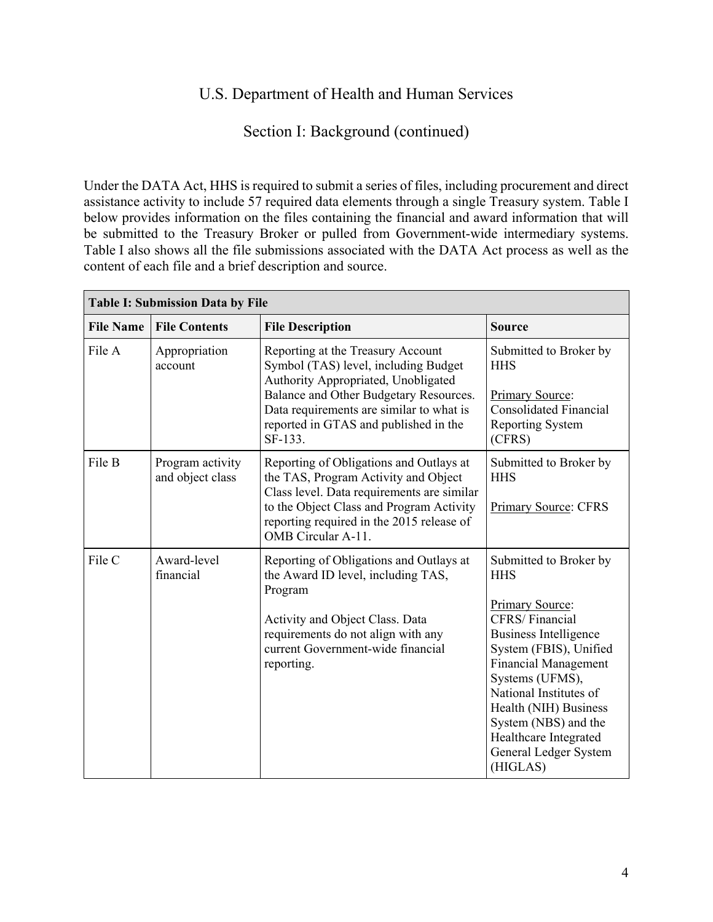## Section I: Background (continued)

 be submitted to the Treasury Broker or pulled from Government-wide intermediary systems. Under the DATA Act, HHS is required to submit a series of files, including procurement and direct assistance activity to include 57 required data elements through a single Treasury system. Table I below provides information on the files containing the financial and award information that will Table I also shows all the file submissions associated with the DATA Act process as well as the content of each file and a brief description and source.

| <b>Table I: Submission Data by File</b> |                                      |                                                                                                                                                                                                                                                            |                                                                                                                                                                                                                                                                                                                                       |  |  |  |
|-----------------------------------------|--------------------------------------|------------------------------------------------------------------------------------------------------------------------------------------------------------------------------------------------------------------------------------------------------------|---------------------------------------------------------------------------------------------------------------------------------------------------------------------------------------------------------------------------------------------------------------------------------------------------------------------------------------|--|--|--|
| <b>File Name</b>                        | <b>File Contents</b>                 | <b>File Description</b>                                                                                                                                                                                                                                    | <b>Source</b>                                                                                                                                                                                                                                                                                                                         |  |  |  |
| File A                                  | Appropriation<br>account             | Reporting at the Treasury Account<br>Symbol (TAS) level, including Budget<br>Authority Appropriated, Unobligated<br>Balance and Other Budgetary Resources.<br>Data requirements are similar to what is<br>reported in GTAS and published in the<br>SF-133. | Submitted to Broker by<br><b>HHS</b><br>Primary Source:<br><b>Consolidated Financial</b><br><b>Reporting System</b><br>(CFRS)                                                                                                                                                                                                         |  |  |  |
| File B                                  | Program activity<br>and object class | Reporting of Obligations and Outlays at<br>the TAS, Program Activity and Object<br>Class level. Data requirements are similar<br>to the Object Class and Program Activity<br>reporting required in the 2015 release of<br>OMB Circular A-11.               | Submitted to Broker by<br><b>HHS</b><br><b>Primary Source: CFRS</b>                                                                                                                                                                                                                                                                   |  |  |  |
| File C                                  | Award-level<br>financial             | Reporting of Obligations and Outlays at<br>the Award ID level, including TAS,<br>Program<br>Activity and Object Class. Data<br>requirements do not align with any<br>current Government-wide financial<br>reporting.                                       | Submitted to Broker by<br><b>HHS</b><br>Primary Source:<br><b>CFRS/Financial</b><br><b>Business Intelligence</b><br>System (FBIS), Unified<br><b>Financial Management</b><br>Systems (UFMS),<br>National Institutes of<br>Health (NIH) Business<br>System (NBS) and the<br>Healthcare Integrated<br>General Ledger System<br>(HIGLAS) |  |  |  |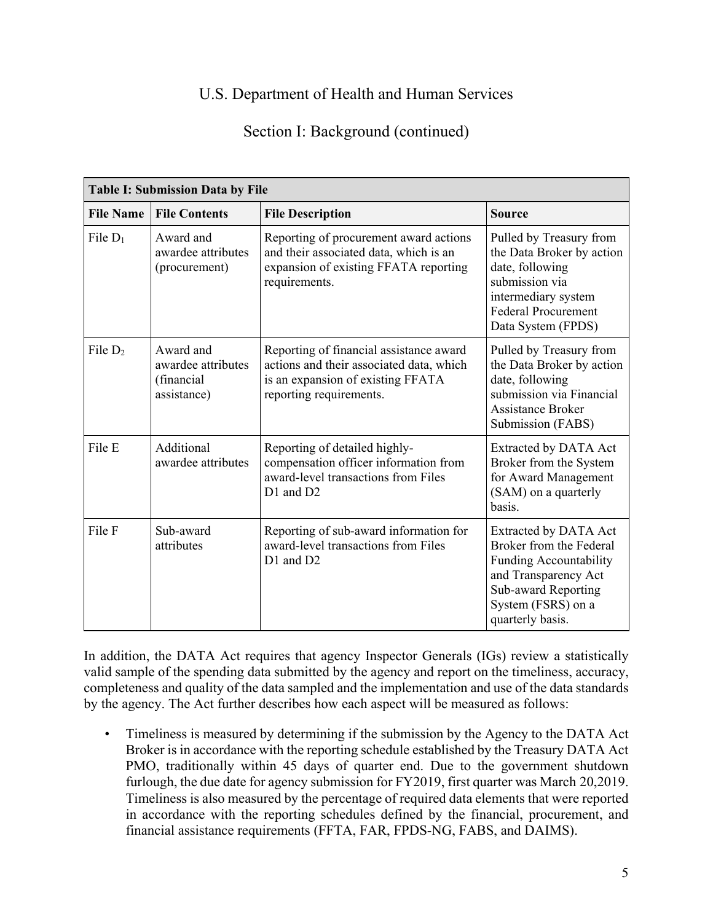# Section I: Background (continued)

| <b>Table I: Submission Data by File</b> |                                                              |                                                                                                                                                     |                                                                                                                                                                            |  |  |
|-----------------------------------------|--------------------------------------------------------------|-----------------------------------------------------------------------------------------------------------------------------------------------------|----------------------------------------------------------------------------------------------------------------------------------------------------------------------------|--|--|
| <b>File Name</b>                        | <b>File Contents</b>                                         | <b>File Description</b>                                                                                                                             | <b>Source</b>                                                                                                                                                              |  |  |
| File $D_1$                              | Award and<br>awardee attributes<br>(procurement)             | Reporting of procurement award actions<br>and their associated data, which is an<br>expansion of existing FFATA reporting<br>requirements.          | Pulled by Treasury from<br>the Data Broker by action<br>date, following<br>submission via<br>intermediary system<br><b>Federal Procurement</b><br>Data System (FPDS)       |  |  |
| File $D_2$                              | Award and<br>awardee attributes<br>(financial<br>assistance) | Reporting of financial assistance award<br>actions and their associated data, which<br>is an expansion of existing FFATA<br>reporting requirements. | Pulled by Treasury from<br>the Data Broker by action<br>date, following<br>submission via Financial<br><b>Assistance Broker</b><br>Submission (FABS)                       |  |  |
| File E                                  | Additional<br>awardee attributes                             | Reporting of detailed highly-<br>compensation officer information from<br>award-level transactions from Files<br>D1 and D2                          | <b>Extracted by DATA Act</b><br>Broker from the System<br>for Award Management<br>(SAM) on a quarterly<br>basis.                                                           |  |  |
| File F                                  | Sub-award<br>attributes                                      | Reporting of sub-award information for<br>award-level transactions from Files<br>D1 and D2                                                          | <b>Extracted by DATA Act</b><br>Broker from the Federal<br>Funding Accountability<br>and Transparency Act<br>Sub-award Reporting<br>System (FSRS) on a<br>quarterly basis. |  |  |

 valid sample of the spending data submitted by the agency and report on the timeliness, accuracy, In addition, the DATA Act requires that agency Inspector Generals (IGs) review a statistically completeness and quality of the data sampled and the implementation and use of the data standards by the agency. The Act further describes how each aspect will be measured as follows:

• Timeliness is measured by determining if the submission by the Agency to the DATA Act Broker is in accordance with the reporting schedule established by the Treasury DATA Act PMO, traditionally within 45 days of quarter end. Due to the government shutdown furlough, the due date for agency submission for FY2019, first quarter was March 20,2019. Timeliness is also measured by the percentage of required data elements that were reported in accordance with the reporting schedules defined by the financial, procurement, and financial assistance requirements (FFTA, FAR, FPDS-NG, FABS, and DAIMS).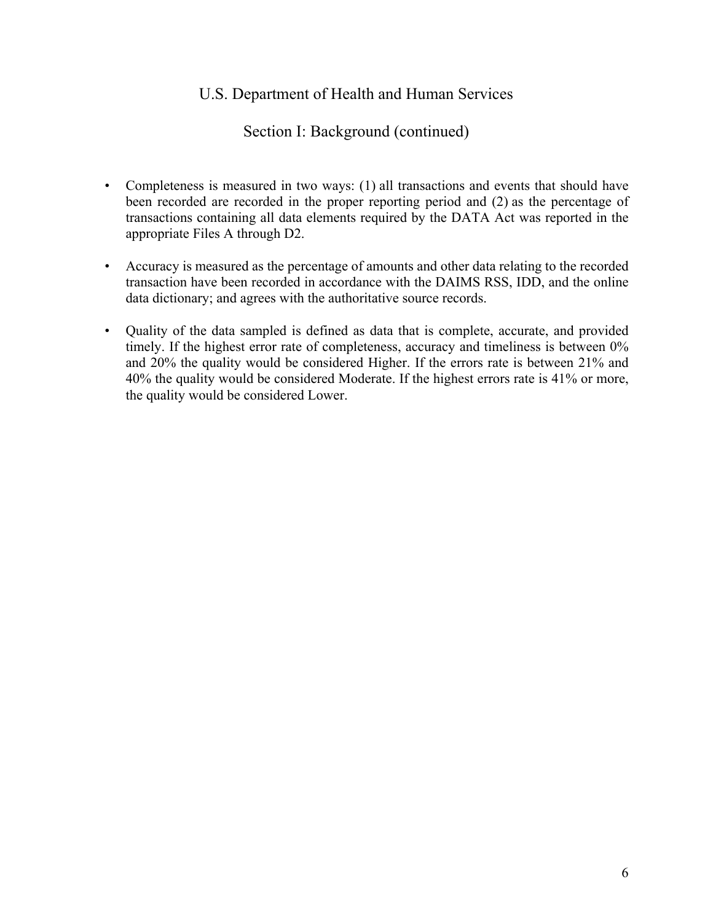## Section I: Background (continued)

- Completeness is measured in two ways: (1) all transactions and events that should have been recorded are recorded in the proper reporting period and (2) as the percentage of transactions containing all data elements required by the DATA Act was reported in the appropriate Files A through D2.
- • Accuracy is measured as the percentage of amounts and other data relating to the recorded transaction have been recorded in accordance with the DAIMS RSS, IDD, and the online data dictionary; and agrees with the authoritative source records.
- timely. If the highest error rate of completeness, accuracy and timeliness is between 0% 40% the quality would be considered Moderate. If the highest errors rate is 41% or more, • Quality of the data sampled is defined as data that is complete, accurate, and provided and 20% the quality would be considered Higher. If the errors rate is between 21% and the quality would be considered Lower.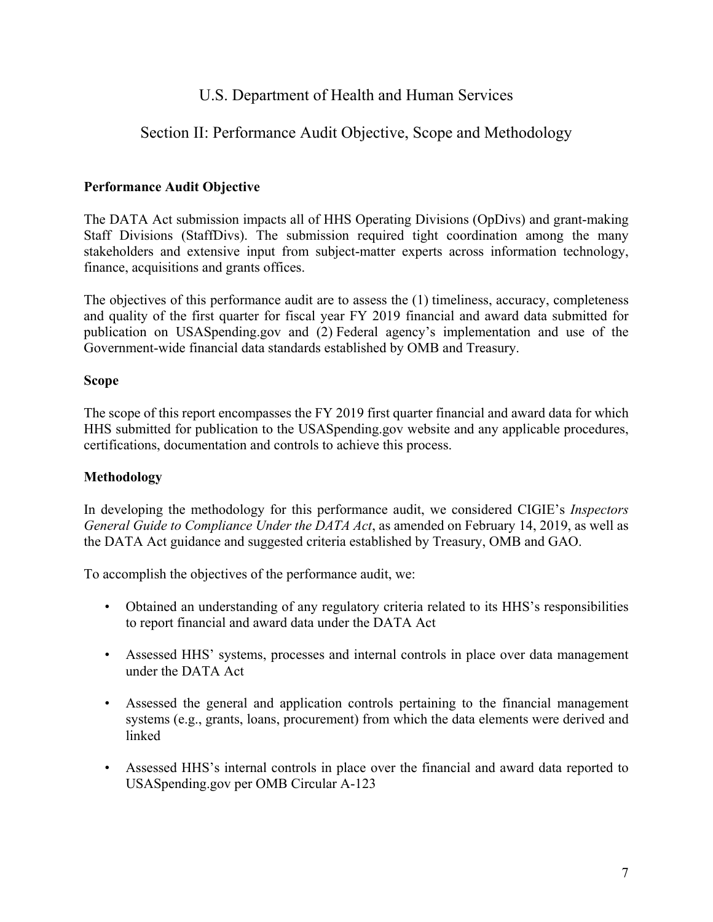# Section II: Performance Audit Objective, Scope and Methodology

## **Performance Audit Objective**

The DATA Act submission impacts all of HHS Operating Divisions (OpDivs) and grant-making Staff Divisions (StaffDivs). The submission required tight coordination among the many stakeholders and extensive input from subject-matter experts across information technology, finance, acquisitions and grants offices.

The objectives of this performance audit are to assess the (1) timeliness, accuracy, completeness and quality of the first quarter for fiscal year FY 2019 financial and award data submitted for publication on USASpending.gov and (2) Federal agency's implementation and use of the Government-wide financial data standards established by OMB and Treasury.

#### **Scope**

The scope of this report encompasses the FY 2019 first quarter financial and award data for which HHS submitted for publication to the USASpending.gov website and any applicable procedures, certifications, documentation and controls to achieve this process.

## **Methodology**

In developing the methodology for this performance audit, we considered CIGIE's *Inspectors General Guide to Compliance Under the DATA Act*, as amended on February 14, 2019, as well as the DATA Act guidance and suggested criteria established by Treasury, OMB and GAO.

To accomplish the objectives of the performance audit, we:

- Obtained an understanding of any regulatory criteria related to its HHS's responsibilities to report financial and award data under the DATA Act
- Assessed HHS' systems, processes and internal controls in place over data management under the DATA Act
- Assessed the general and application controls pertaining to the financial management systems (e.g., grants, loans, procurement) from which the data elements were derived and linked
- Assessed HHS's internal controls in place over the financial and award data reported to USASpending.gov per OMB Circular A-123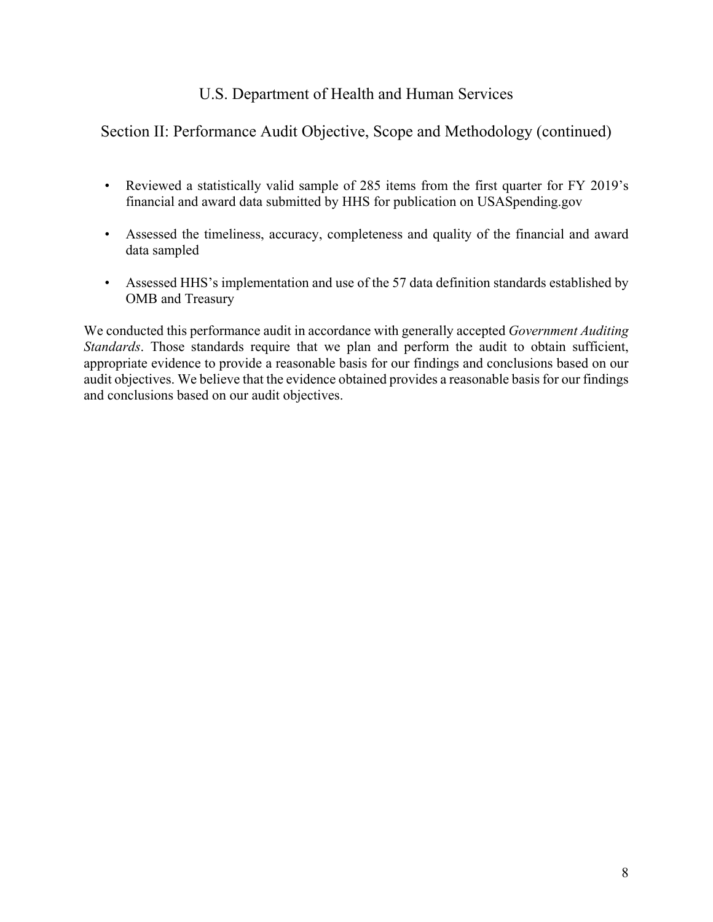# Section II: Performance Audit Objective, Scope and Methodology (continued)

- • Reviewed a statistically valid sample of 285 items from the first quarter for FY 2019's financial and award data submitted by HHS for publication on USASpending.gov
- • Assessed the timeliness, accuracy, completeness and quality of the financial and award data sampled
- Assessed HHS's implementation and use of the 57 data definition standards established by OMB and Treasury

We conducted this performance audit in accordance with generally accepted *Government Auditing Standards*. Those standards require that we plan and perform the audit to obtain sufficient, appropriate evidence to provide a reasonable basis for our findings and conclusions based on our audit objectives. We believe that the evidence obtained provides a reasonable basis for our findings and conclusions based on our audit objectives.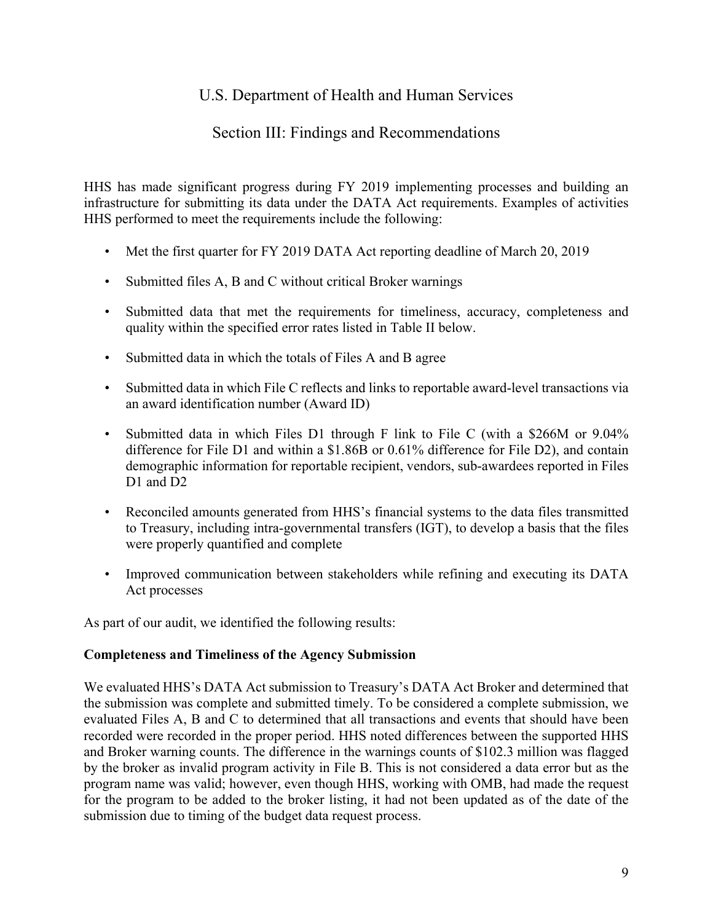## Section III: Findings and Recommendations

HHS has made significant progress during FY 2019 implementing processes and building an infrastructure for submitting its data under the DATA Act requirements. Examples of activities HHS performed to meet the requirements include the following:

- Met the first quarter for FY 2019 DATA Act reporting deadline of March 20, 2019
- Submitted files A, B and C without critical Broker warnings
- Submitted data that met the requirements for timeliness, accuracy, completeness and quality within the specified error rates listed in Table II below.
- Submitted data in which the totals of Files A and B agree
- • Submitted data in which File C reflects and links to reportable award-level transactions via an award identification number (Award ID)
- • Submitted data in which Files D1 through F link to File C (with a \$266M or 9.04% difference for File D1 and within a \$1.86B or 0.61% difference for File D2), and contain demographic information for reportable recipient, vendors, sub-awardees reported in Files D<sub>1</sub> and D<sub>2</sub>
- Reconciled amounts generated from HHS's financial systems to the data files transmitted to Treasury, including intra-governmental transfers (IGT), to develop a basis that the files were properly quantified and complete
- Improved communication between stakeholders while refining and executing its DATA Act processes

As part of our audit, we identified the following results:

## **Completeness and Timeliness of the Agency Submission**

 We evaluated HHS's DATA Act submission to Treasury's DATA Act Broker and determined that evaluated Files A, B and C to determined that all transactions and events that should have been the submission was complete and submitted timely. To be considered a complete submission, we recorded were recorded in the proper period. HHS noted differences between the supported HHS and Broker warning counts. The difference in the warnings counts of \$102.3 million was flagged by the broker as invalid program activity in File B. This is not considered a data error but as the program name was valid; however, even though HHS, working with OMB, had made the request for the program to be added to the broker listing, it had not been updated as of the date of the submission due to timing of the budget data request process.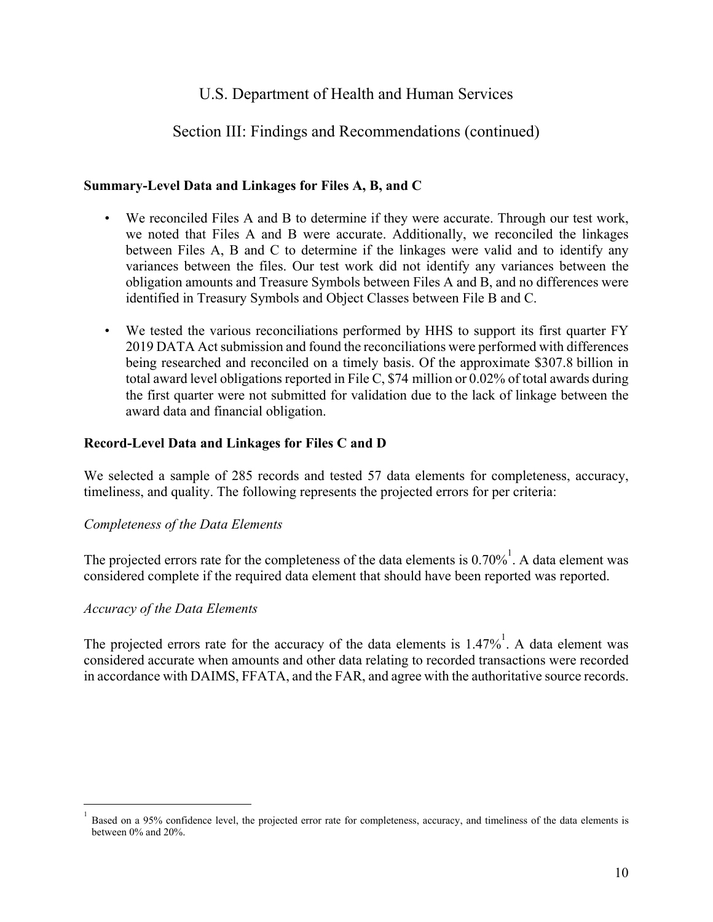## Section III: Findings and Recommendations (continued)

## **Summary-Level Data and Linkages for Files A, B, and C**

- We reconciled Files A and B to determine if they were accurate. Through our test work, we noted that Files A and B were accurate. Additionally, we reconciled the linkages between Files A, B and C to determine if the linkages were valid and to identify any variances between the files. Our test work did not identify any variances between the obligation amounts and Treasure Symbols between Files A and B, and no differences were identified in Treasury Symbols and Object Classes between File B and C.
- We tested the various reconciliations performed by HHS to support its first quarter FY 2019 DATA Act submission and found the reconciliations were performed with differences being researched and reconciled on a timely basis. Of the approximate \$307.8 billion in total award level obligations reported in File C, \$74 million or 0.02% of total awards during the first quarter were not submitted for validation due to the lack of linkage between the award data and financial obligation.

#### **Record-Level Data and Linkages for Files C and D**

We selected a sample of 285 records and tested 57 data elements for completeness, accuracy, timeliness, and quality. The following represents the projected errors for per criteria:

#### *Completeness of the Data Elements*

The projected errors rate for the completeness of the data elements is  $0.70\%$ <sup>1</sup>. A data element was considered complete if the required data element that should have been reported was reported.

## *Accuracy of the Data Elements*

<u>.</u>

The projected errors rate for the accuracy of the data elements is  $1.47\%$ <sup>1</sup>. A data element was considered accurate when amounts and other data relating to recorded transactions were recorded in accordance with DAIMS, FFATA, and the FAR, and agree with the authoritative source records.

 Based on a 95% confidence level, the projected error rate for completeness, accuracy, and timeliness of the data elements is between 0% and 20%. 1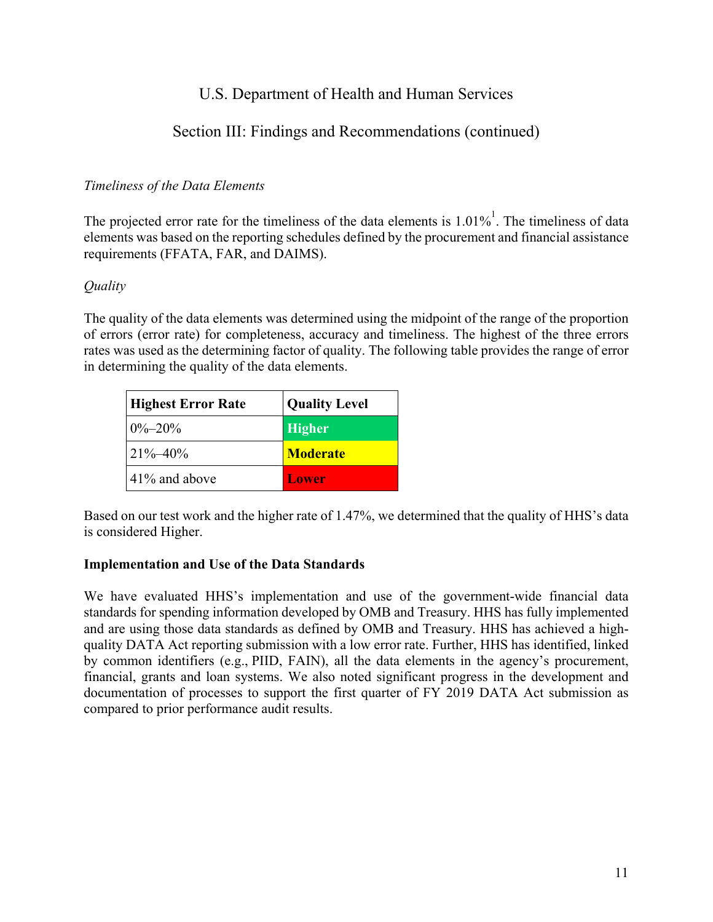# Section III: Findings and Recommendations (continued)

## *Timeliness of the Data Elements*

The projected error rate for the timeliness of the data elements is  $1.01\%$ <sup>1</sup>. The timeliness of data elements was based on the reporting schedules defined by the procurement and financial assistance requirements (FFATA, FAR, and DAIMS).

## *Quality*

The quality of the data elements was determined using the midpoint of the range of the proportion of errors (error rate) for completeness, accuracy and timeliness. The highest of the three errors rates was used as the determining factor of quality. The following table provides the range of error in determining the quality of the data elements.

| <b>Highest Error Rate</b> | <b>Quality Level</b> |
|---------------------------|----------------------|
| $0\% - 20\%$              | <b>Higher</b>        |
| $21\% - 40\%$             | <b>Moderate</b>      |
| $141\%$ and above         | Lower                |

Based on our test work and the higher rate of 1.47%, we determined that the quality of HHS's data is considered Higher.

## **Implementation and Use of the Data Standards**

We have evaluated HHS's implementation and use of the government-wide financial data standards for spending information developed by OMB and Treasury. HHS has fully implemented and are using those data standards as defined by OMB and Treasury. HHS has achieved a highquality DATA Act reporting submission with a low error rate. Further, HHS has identified, linked by common identifiers (e.g., PIID, FAIN), all the data elements in the agency's procurement, financial, grants and loan systems. We also noted significant progress in the development and documentation of processes to support the first quarter of FY 2019 DATA Act submission as compared to prior performance audit results.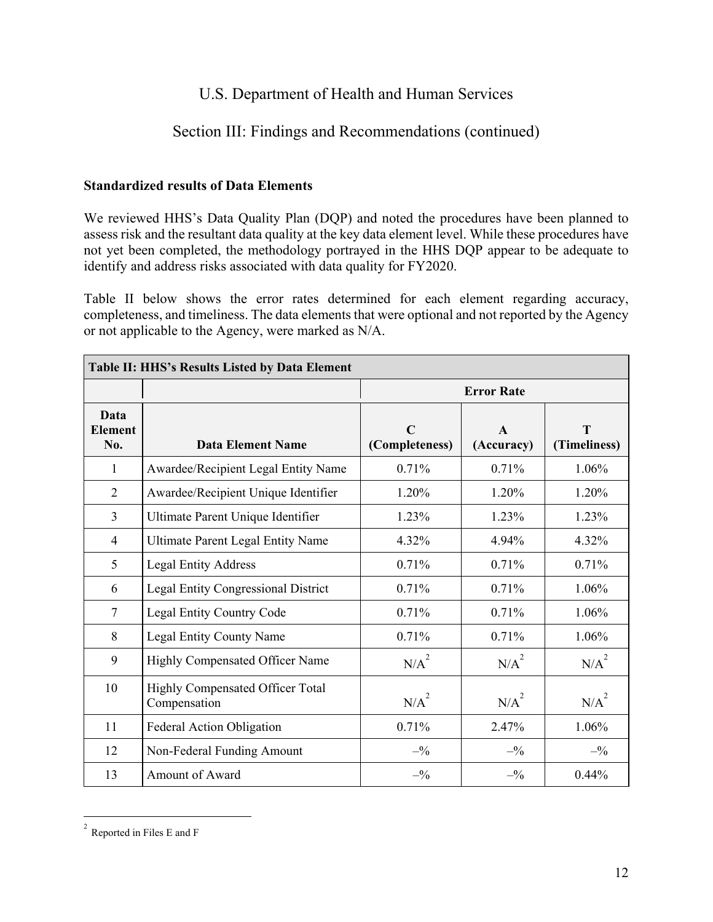# Section III: Findings and Recommendations (continued)

## **Standardized results of Data Elements**

 assess risk and the resultant data quality at the key data element level. While these procedures have We reviewed HHS's Data Quality Plan (DQP) and noted the procedures have been planned to not yet been completed, the methodology portrayed in the HHS DQP appear to be adequate to identify and address risks associated with data quality for FY2020.

Table II below shows the error rates determined for each element regarding accuracy, completeness, and timeliness. The data elements that were optional and not reported by the Agency or not applicable to the Agency, were marked as N/A.

| Table II: HHS's Results Listed by Data Element |                                                  |                               |                            |                   |  |
|------------------------------------------------|--------------------------------------------------|-------------------------------|----------------------------|-------------------|--|
|                                                |                                                  |                               | <b>Error Rate</b>          |                   |  |
| Data<br><b>Element</b><br>No.                  | <b>Data Element Name</b>                         | $\mathbf C$<br>(Completeness) | $\mathbf{A}$<br>(Accuracy) | T<br>(Timeliness) |  |
| $\mathbf{1}$                                   | Awardee/Recipient Legal Entity Name              | 0.71%                         | 0.71%                      | 1.06%             |  |
| $\overline{2}$                                 | Awardee/Recipient Unique Identifier              | 1.20%                         | 1.20%                      | 1.20%             |  |
| $\overline{3}$                                 | Ultimate Parent Unique Identifier                | 1.23%                         | 1.23%                      | 1.23%             |  |
| $\overline{4}$                                 | <b>Ultimate Parent Legal Entity Name</b>         | 4.32%                         | 4.94%                      | 4.32%             |  |
| 5                                              | <b>Legal Entity Address</b>                      | 0.71%                         | 0.71%                      | 0.71%             |  |
| 6                                              | <b>Legal Entity Congressional District</b>       | 0.71%                         | 0.71%                      | 1.06%             |  |
| $\tau$                                         | Legal Entity Country Code                        | 0.71%                         | 0.71%                      | 1.06%             |  |
| 8                                              | Legal Entity County Name                         | 0.71%                         | 0.71%                      | 1.06%             |  |
| 9                                              | Highly Compensated Officer Name                  | $N/A^2$                       | $N/A^2$                    | $N/A^2$           |  |
| 10                                             | Highly Compensated Officer Total<br>Compensation | $N/A^2$                       | $N/A^2$                    | $N/A^2$           |  |
| 11                                             | Federal Action Obligation                        | 0.71%                         | 2.47%                      | 1.06%             |  |
| 12                                             | Non-Federal Funding Amount                       | $-^{0}\!\!/_{0}$              | $-^{0}\!\!/_{0}$           | $-^{0}\!\!/_{0}$  |  |
| 13                                             | Amount of Award                                  | $-^{0}/_{0}$                  | $-^{0}/_{0}$               | $0.44\%$          |  |

 $2$  Reported in Files E and F

 $\overline{a}$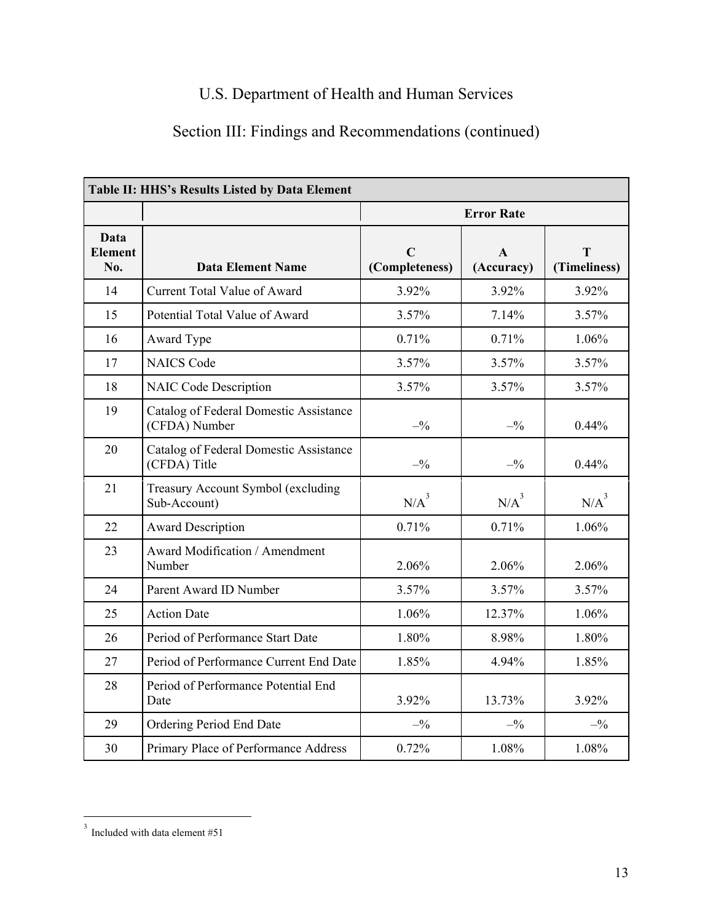# Section III: Findings and Recommendations (continued)

| Table II: HHS's Results Listed by Data Element |                                                         |                               |                            |                   |  |  |
|------------------------------------------------|---------------------------------------------------------|-------------------------------|----------------------------|-------------------|--|--|
|                                                |                                                         | <b>Error Rate</b>             |                            |                   |  |  |
| Data<br><b>Element</b><br>No.                  | <b>Data Element Name</b>                                | $\mathbf C$<br>(Completeness) | $\mathbf{A}$<br>(Accuracy) | т<br>(Timeliness) |  |  |
| 14                                             | <b>Current Total Value of Award</b>                     | 3.92%                         | 3.92%                      | 3.92%             |  |  |
| 15                                             | Potential Total Value of Award                          | 3.57%                         | 7.14%                      | 3.57%             |  |  |
| 16                                             | Award Type                                              | 0.71%                         | 0.71%                      | 1.06%             |  |  |
| 17                                             | <b>NAICS Code</b>                                       | 3.57%                         | 3.57%                      | 3.57%             |  |  |
| 18                                             | <b>NAIC Code Description</b>                            | 3.57%                         | 3.57%                      | 3.57%             |  |  |
| 19                                             | Catalog of Federal Domestic Assistance<br>(CFDA) Number | $-^{0}\!\!/_{0}$              | $-^{0}\!\!/_{0}$           | 0.44%             |  |  |
| 20                                             | Catalog of Federal Domestic Assistance<br>(CFDA) Title  | $-^{0}\!\!/_{0}$              | $-^{0}\!\!/_{0}$           | 0.44%             |  |  |
| 21                                             | Treasury Account Symbol (excluding<br>Sub-Account)      | $N/A^3$                       | $N/A^3$                    | $N/A^3$           |  |  |
| 22                                             | <b>Award Description</b>                                | 0.71%                         | 0.71%                      | 1.06%             |  |  |
| 23                                             | Award Modification / Amendment<br>Number                | 2.06%                         | 2.06%                      | 2.06%             |  |  |
| 24                                             | Parent Award ID Number                                  | 3.57%                         | 3.57%                      | 3.57%             |  |  |
| 25                                             | <b>Action Date</b>                                      | 1.06%                         | 12.37%                     | 1.06%             |  |  |
| 26                                             | Period of Performance Start Date                        | 1.80%                         | 8.98%                      | 1.80%             |  |  |
| 27                                             | Period of Performance Current End Date                  | 1.85%                         | 4.94%                      | 1.85%             |  |  |
| 28                                             | Period of Performance Potential End<br>Date             | 3.92%                         | 13.73%                     | 3.92%             |  |  |
| 29                                             | Ordering Period End Date                                | $-^{0}\!\!/_{0}$              | $-^{0}\!\!/_{0}$           | $-^{0}\!\!/_{0}$  |  |  |
| 30                                             | Primary Place of Performance Address                    | 0.72%                         | 1.08%                      | 1.08%             |  |  |

 $\overline{a}$ 

 $3$  Included with data element #51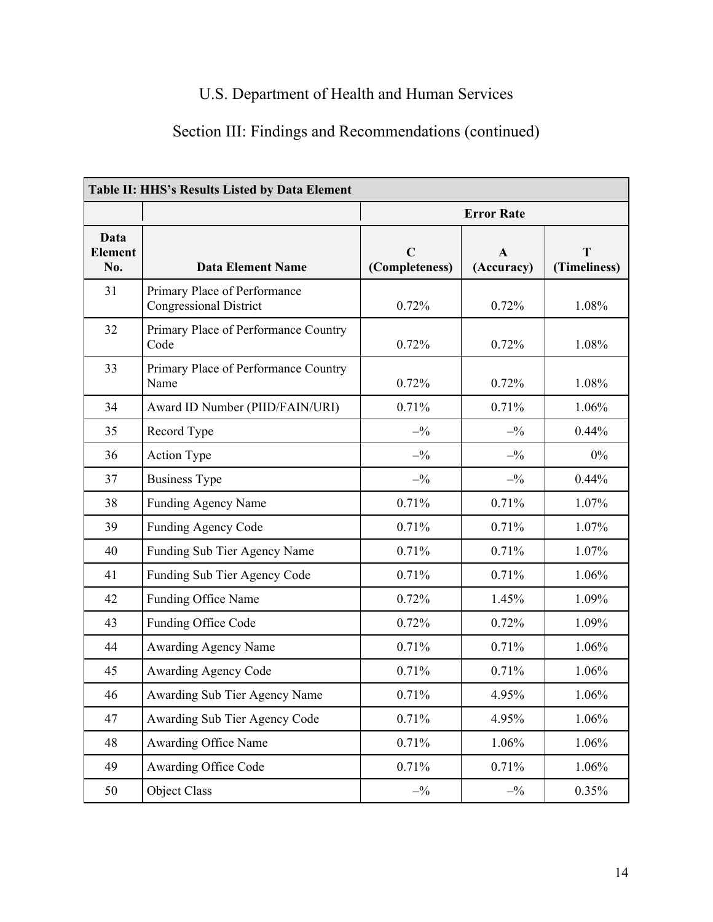# Section III: Findings and Recommendations (continued)

| Table II: HHS's Results Listed by Data Element |                                                               |                               |                            |                   |  |  |
|------------------------------------------------|---------------------------------------------------------------|-------------------------------|----------------------------|-------------------|--|--|
|                                                |                                                               | <b>Error Rate</b>             |                            |                   |  |  |
| Data<br><b>Element</b><br>No.                  | <b>Data Element Name</b>                                      | $\mathbf C$<br>(Completeness) | $\mathbf{A}$<br>(Accuracy) | T<br>(Timeliness) |  |  |
| 31                                             | Primary Place of Performance<br><b>Congressional District</b> | 0.72%                         | 0.72%                      | 1.08%             |  |  |
| 32                                             | Primary Place of Performance Country<br>Code                  | 0.72%                         | 0.72%                      | 1.08%             |  |  |
| 33                                             | Primary Place of Performance Country<br>Name                  | 0.72%                         | 0.72%                      | 1.08%             |  |  |
| 34                                             | Award ID Number (PIID/FAIN/URI)                               | 0.71%                         | 0.71%                      | 1.06%             |  |  |
| 35                                             | Record Type                                                   | $-^{0}\!\!/_{0}$              | $-^{0}\!\!/_{0}$           | 0.44%             |  |  |
| 36                                             | Action Type                                                   | $-^{0}\!\!/_{0}$              | $-^{0}\!\!/_{0}$           | $0\%$             |  |  |
| 37                                             | <b>Business Type</b>                                          | $-^{0}\!\!/_{0}$              | $-^{0}\!\!/_{0}$           | 0.44%             |  |  |
| 38                                             | <b>Funding Agency Name</b>                                    | 0.71%                         | 0.71%                      | 1.07%             |  |  |
| 39                                             | Funding Agency Code                                           | 0.71%                         | 0.71%                      | 1.07%             |  |  |
| 40                                             | Funding Sub Tier Agency Name                                  | 0.71%                         | 0.71%                      | 1.07%             |  |  |
| 41                                             | Funding Sub Tier Agency Code                                  | 0.71%                         | 0.71%                      | 1.06%             |  |  |
| 42                                             | Funding Office Name                                           | 0.72%                         | 1.45%                      | 1.09%             |  |  |
| 43                                             | Funding Office Code                                           | 0.72%                         | 0.72%                      | 1.09%             |  |  |
| 44                                             | Awarding Agency Name                                          | 0.71%                         | 0.71%                      | 1.06%             |  |  |
| 45                                             | Awarding Agency Code                                          | 0.71%                         | 0.71%                      | 1.06%             |  |  |
| 46                                             | Awarding Sub Tier Agency Name                                 | 0.71%                         | 4.95%                      | 1.06%             |  |  |
| 47                                             | Awarding Sub Tier Agency Code                                 | 0.71%                         | 4.95%                      | 1.06%             |  |  |
| 48                                             | <b>Awarding Office Name</b>                                   | 0.71%                         | 1.06%                      | 1.06%             |  |  |
| 49                                             | Awarding Office Code                                          | 0.71%                         | 0.71%                      | 1.06%             |  |  |
| 50                                             | Object Class                                                  | $-^{0}\!\!/_{0}$              | $- \frac{9}{6}$            | 0.35%             |  |  |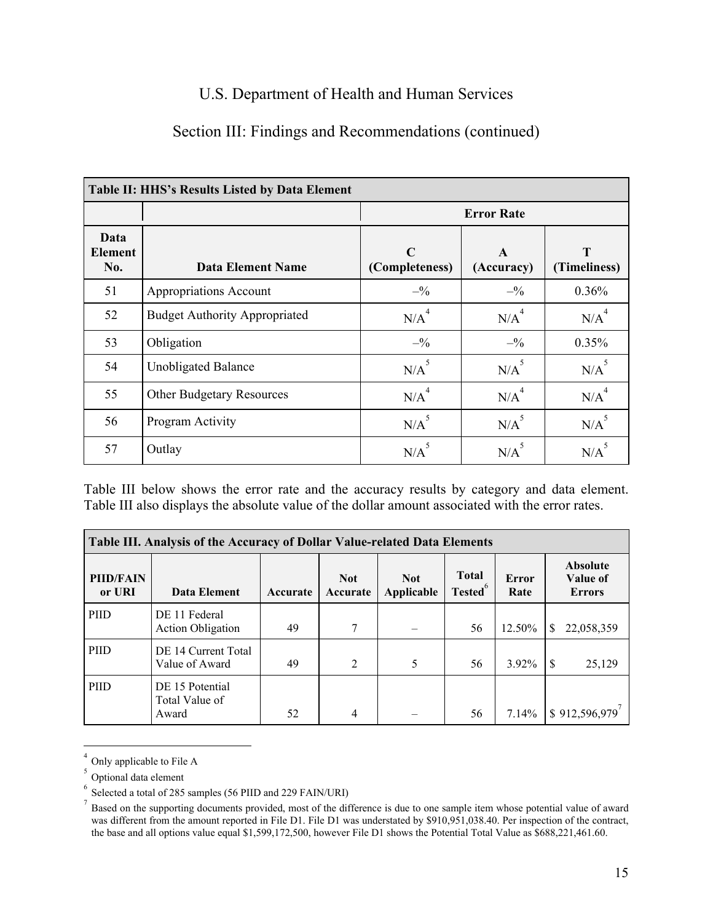# Section III: Findings and Recommendations (continued)

| Table II: HHS's Results Listed by Data Element |                                      |                               |                            |                    |  |
|------------------------------------------------|--------------------------------------|-------------------------------|----------------------------|--------------------|--|
|                                                |                                      |                               | <b>Error Rate</b>          |                    |  |
| Data<br><b>Element</b><br>No.                  | <b>Data Element Name</b>             | $\mathbf C$<br>(Completeness) | $\mathbf{A}$<br>(Accuracy) | T<br>(Timeliness)  |  |
| 51                                             | Appropriations Account               | $- \frac{9}{6}$               | $- \frac{9}{6}$            | 0.36%              |  |
| 52                                             | <b>Budget Authority Appropriated</b> | N/A <sup>4</sup>              | N/A <sup>4</sup>           | N/A <sup>4</sup>   |  |
| 53                                             | Obligation                           | $-^{0}\!\!/_{0}$              | $-^{0}/_{0}$               | 0.35%              |  |
| 54                                             | <b>Unobligated Balance</b>           | $N/A$ <sup>5</sup>            | $N/A$ <sup>5</sup>         | $N/A$ <sup>5</sup> |  |
| 55                                             | <b>Other Budgetary Resources</b>     | N/A <sup>4</sup>              | N/A <sup>4</sup>           | N/A <sup>4</sup>   |  |
| 56                                             | Program Activity                     | $N/A$ <sup>5</sup>            | $N/A$ <sup>5</sup>         | $N/A$ <sup>5</sup> |  |
| 57                                             | Outlay                               | $N/A$ <sup>5</sup>            | N/A                        | N/A                |  |

Table III below shows the error rate and the accuracy results by category and data element. Table III also displays the absolute value of the dollar amount associated with the error rates.

| <b>Table III. Analysis of the Accuracy of Dollar Value-related Data Elements</b> |                                            |          |                        |                          |                                     |               |                                              |
|----------------------------------------------------------------------------------|--------------------------------------------|----------|------------------------|--------------------------|-------------------------------------|---------------|----------------------------------------------|
| <b>PIID/FAIN</b><br>or URI                                                       | Data Element                               | Accurate | <b>Not</b><br>Accurate | <b>Not</b><br>Applicable | <b>Total</b><br>Tested <sup>6</sup> | Error<br>Rate | <b>Absolute</b><br>Value of<br><b>Errors</b> |
| PIID                                                                             | DE 11 Federal<br><b>Action Obligation</b>  | 49       | 7                      |                          | 56                                  | 12.50%        | 22,058,359<br>S.                             |
| <b>PHD</b>                                                                       | DE 14 Current Total<br>Value of Award      | 49       | 2                      | 5                        | 56                                  | $3.92\%$      | 25,129<br>\$                                 |
| <b>PHD</b>                                                                       | DE 15 Potential<br>Total Value of<br>Award | 52       | 4                      |                          | 56                                  | 7.14%         | \$912,596,979'                               |

 $<sup>4</sup>$  Only applicable to File A</sup>

 $\overline{a}$ 

<sup>5</sup> Optional data element<br>
<sup>5</sup> Optional data element<br>
<sup>6</sup> Selected a total of 285 samples (56 PIID and 229 FAIN/URI)

 $\sigma$  Selected a total of 285 samples (56 PIID and 229 FAIN/URI)<br><sup>7</sup> Based on the supporting documents provided, most of the difference is due to one sample item whose potential value of award was different from the amount reported in File D1. File D1 was understated by \$910,951,038.40. Per inspection of the contract, the base and all options value equal \$1,599,172,500, however File D1 shows the Potential Total Value as \$688,221,461.60.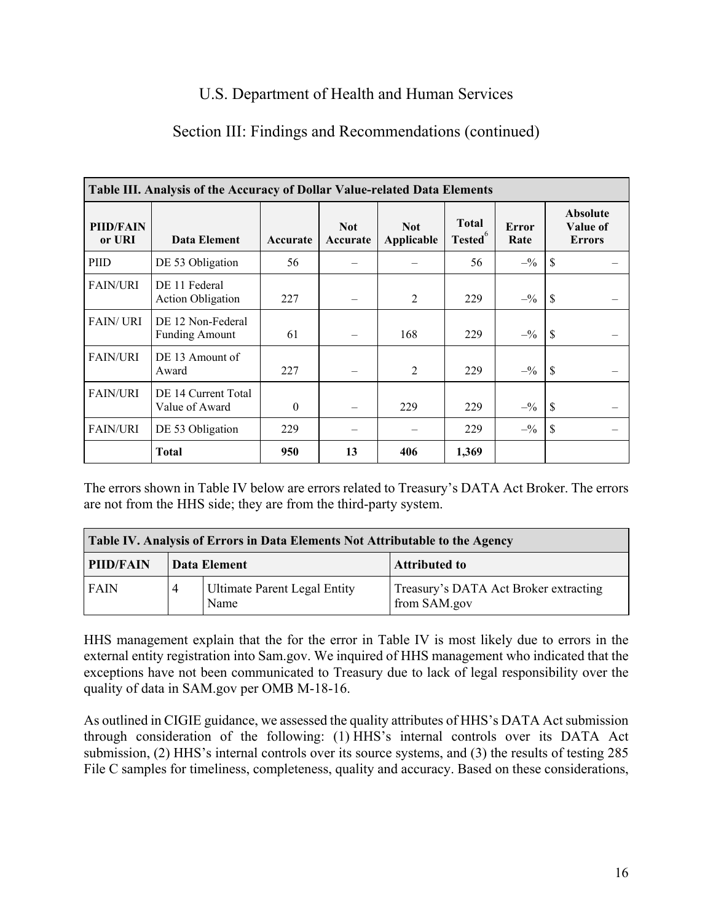## Section III: Findings and Recommendations (continued)

| Table III. Analysis of the Accuracy of Dollar Value-related Data Elements |                                            |          |                        |                          |                                     |                                 |                                              |
|---------------------------------------------------------------------------|--------------------------------------------|----------|------------------------|--------------------------|-------------------------------------|---------------------------------|----------------------------------------------|
| <b>PIID/FAIN</b><br>or URI                                                | Data Element                               | Accurate | <b>Not</b><br>Accurate | <b>Not</b><br>Applicable | <b>Total</b><br>-6<br><b>Tested</b> | Error<br>Rate                   | <b>Absolute</b><br>Value of<br><b>Errors</b> |
| PIID                                                                      | DE 53 Obligation                           | 56       |                        |                          | 56                                  | $- \frac{9}{6}$                 | \$                                           |
| <b>FAIN/URI</b>                                                           | DE 11 Federal<br><b>Action Obligation</b>  | 227      |                        | $\overline{2}$           | 229                                 | $-$ <sup>0</sup> / <sub>0</sub> | \$                                           |
| <b>FAIN/URI</b>                                                           | DE 12 Non-Federal<br><b>Funding Amount</b> | 61       |                        | 168                      | 229                                 | $-^{0}/_{0}$                    | \$                                           |
| <b>FAIN/URI</b>                                                           | DE 13 Amount of<br>Award                   | 227      |                        | $\overline{2}$           | 229                                 | $- \frac{9}{6}$                 | \$                                           |
| <b>FAIN/URI</b>                                                           | DE 14 Current Total<br>Value of Award      | $\theta$ |                        | 229                      | 229                                 | $-^{0}\!\!/_{0}$                | \$                                           |
| <b>FAIN/URI</b>                                                           | DE 53 Obligation                           | 229      |                        |                          | 229                                 | $-^{0}\!/_{0}$                  | \$                                           |
|                                                                           | <b>Total</b>                               | 950      | 13                     | 406                      | 1,369                               |                                 |                                              |

The errors shown in Table IV below are errors related to Treasury's DATA Act Broker. The errors are not from the HHS side; they are from the third-party system.

| Table IV. Analysis of Errors in Data Elements Not Attributable to the Agency |                                                               |              |                                                       |  |  |
|------------------------------------------------------------------------------|---------------------------------------------------------------|--------------|-------------------------------------------------------|--|--|
| <b>PHD/FAIN</b>                                                              |                                                               | Data Element | <b>Attributed to</b>                                  |  |  |
| <b>FAIN</b>                                                                  | <b>Ultimate Parent Legal Entity</b><br>$\overline{4}$<br>Name |              | Treasury's DATA Act Broker extracting<br>from SAM.gov |  |  |

HHS management explain that the for the error in Table IV is most likely due to errors in the external entity registration into Sam.gov. We inquired of HHS management who indicated that the exceptions have not been communicated to Treasury due to lack of legal responsibility over the quality of data in SAM.gov per OMB M-18-16.

 File C samples for timeliness, completeness, quality and accuracy. Based on these considerations, As outlined in CIGIE guidance, we assessed the quality attributes of HHS's DATA Act submission through consideration of the following: (1) HHS's internal controls over its DATA Act submission, (2) HHS's internal controls over its source systems, and (3) the results of testing 285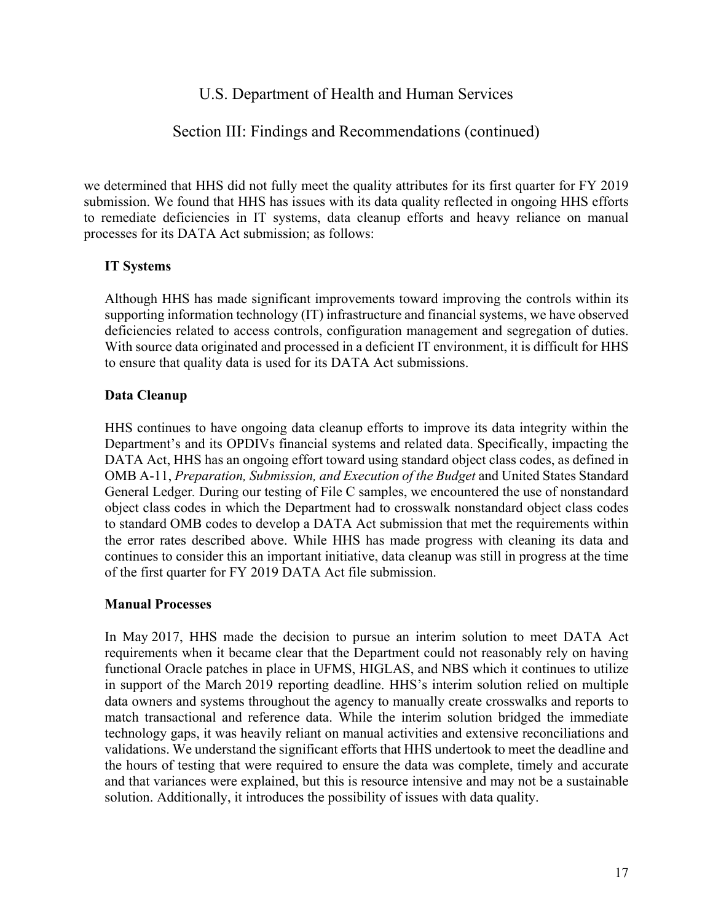## Section III: Findings and Recommendations (continued)

we determined that HHS did not fully meet the quality attributes for its first quarter for FY 2019 submission. We found that HHS has issues with its data quality reflected in ongoing HHS efforts to remediate deficiencies in IT systems, data cleanup efforts and heavy reliance on manual processes for its DATA Act submission; as follows:

## **IT Systems**

 With source data originated and processed in a deficient IT environment, it is difficult for HHS Although HHS has made significant improvements toward improving the controls within its supporting information technology (IT) infrastructure and financial systems, we have observed deficiencies related to access controls, configuration management and segregation of duties. to ensure that quality data is used for its DATA Act submissions.

#### **Data Cleanup**

 the error rates described above. While HHS has made progress with cleaning its data and continues to consider this an important initiative, data cleanup was still in progress at the time HHS continues to have ongoing data cleanup efforts to improve its data integrity within the Department's and its OPDIVs financial systems and related data. Specifically, impacting the DATA Act, HHS has an ongoing effort toward using standard object class codes, as defined in OMB A-11, *Preparation, Submission, and Execution of the Budget* and United States Standard General Ledger*.* During our testing of File C samples, we encountered the use of nonstandard object class codes in which the Department had to crosswalk nonstandard object class codes to standard OMB codes to develop a DATA Act submission that met the requirements within of the first quarter for FY 2019 DATA Act file submission.

#### **Manual Processes**

 In May 2017, HHS made the decision to pursue an interim solution to meet DATA Act in support of the March 2019 reporting deadline. HHS's interim solution relied on multiple requirements when it became clear that the Department could not reasonably rely on having functional Oracle patches in place in UFMS, HIGLAS, and NBS which it continues to utilize data owners and systems throughout the agency to manually create crosswalks and reports to match transactional and reference data. While the interim solution bridged the immediate technology gaps, it was heavily reliant on manual activities and extensive reconciliations and validations. We understand the significant efforts that HHS undertook to meet the deadline and the hours of testing that were required to ensure the data was complete, timely and accurate and that variances were explained, but this is resource intensive and may not be a sustainable solution. Additionally, it introduces the possibility of issues with data quality.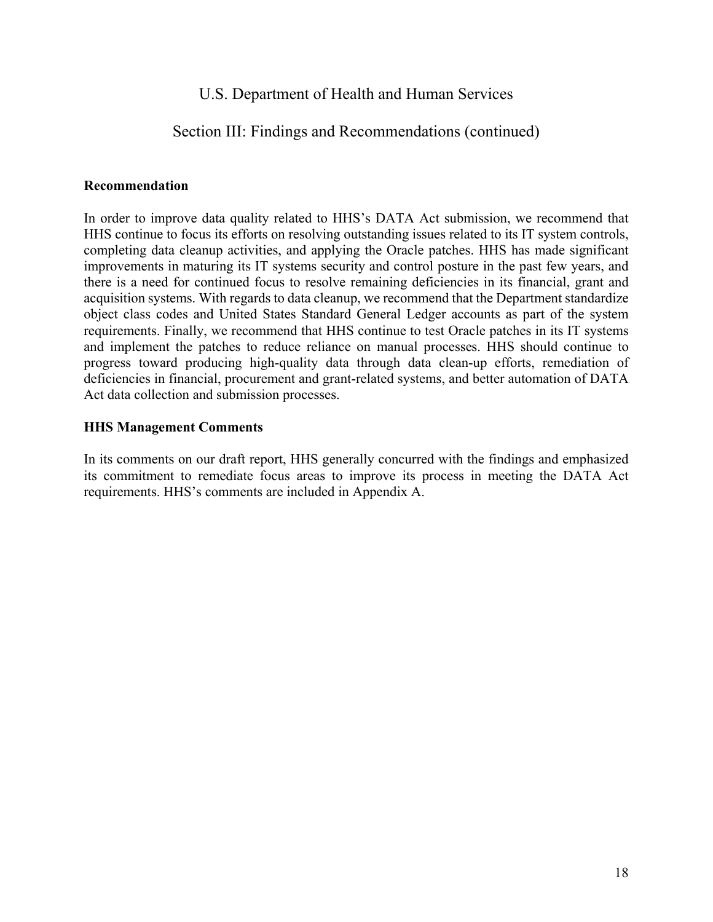## Section III: Findings and Recommendations (continued)

#### **Recommendation**

 there is a need for continued focus to resolve remaining deficiencies in its financial, grant and object class codes and United States Standard General Ledger accounts as part of the system In order to improve data quality related to HHS's DATA Act submission, we recommend that HHS continue to focus its efforts on resolving outstanding issues related to its IT system controls, completing data cleanup activities, and applying the Oracle patches. HHS has made significant improvements in maturing its IT systems security and control posture in the past few years, and acquisition systems. With regards to data cleanup, we recommend that the Department standardize requirements. Finally, we recommend that HHS continue to test Oracle patches in its IT systems and implement the patches to reduce reliance on manual processes. HHS should continue to progress toward producing high-quality data through data clean-up efforts, remediation of deficiencies in financial, procurement and grant-related systems, and better automation of DATA Act data collection and submission processes.

#### **HHS Management Comments**

In its comments on our draft report, HHS generally concurred with the findings and emphasized its commitment to remediate focus areas to improve its process in meeting the DATA Act requirements. HHS's comments are included in Appendix A.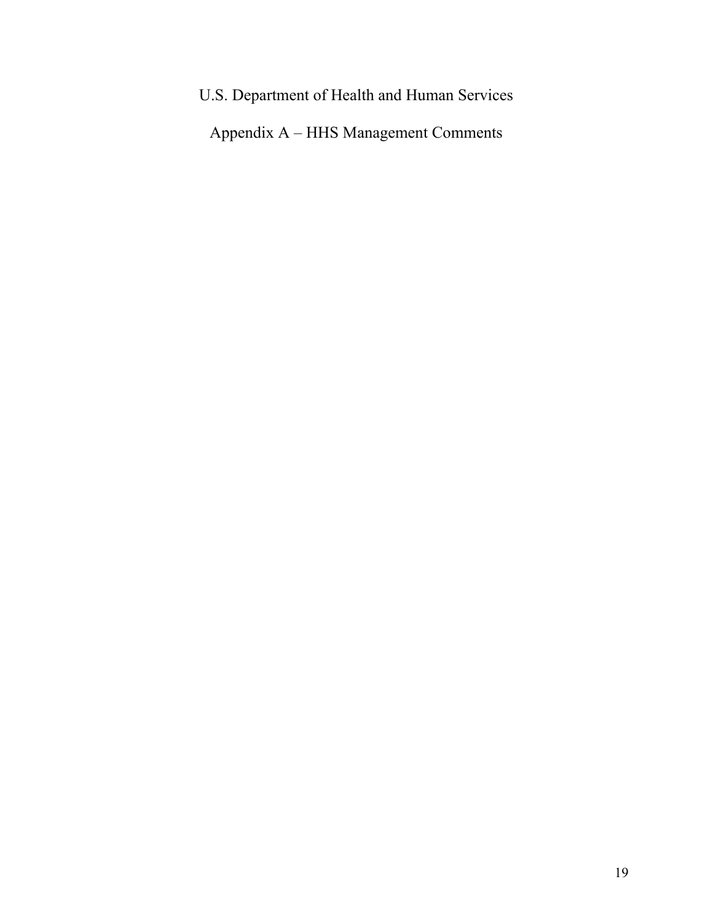U.S. Department of Health and Human Services Appendix A – HHS Management Comments